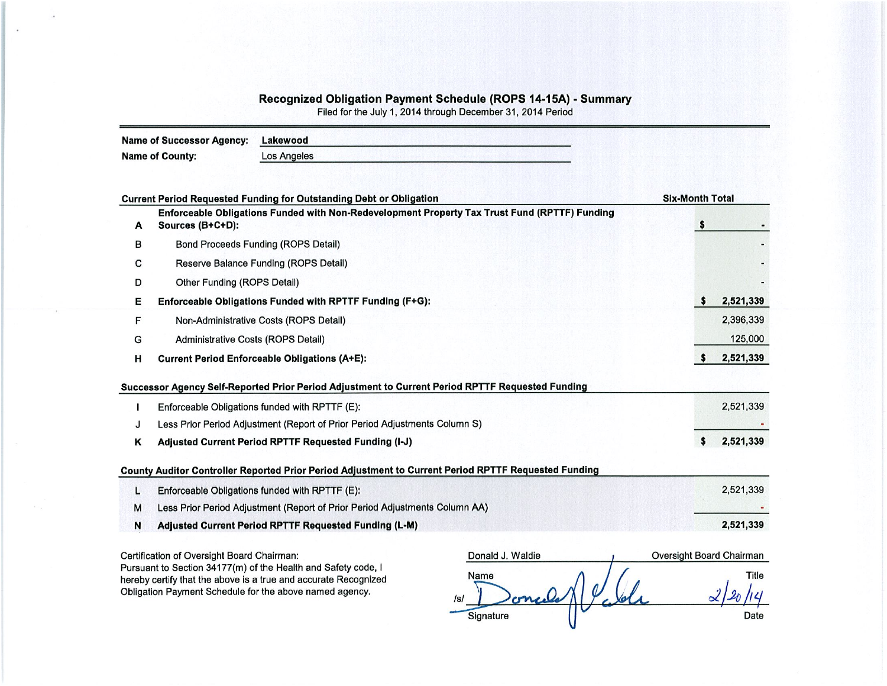## Recognized Obligation Payment Schedule (ROPS 14-15A) - Summary<br>Filed for the July 1, 2014 through December 31, 2014 Period

|   | <b>Name of Successor Agency:</b>                      | Lakewood                                                                                         |                                                                                                      |                        |                          |
|---|-------------------------------------------------------|--------------------------------------------------------------------------------------------------|------------------------------------------------------------------------------------------------------|------------------------|--------------------------|
|   | <b>Name of County:</b>                                | <b>Los Angeles</b>                                                                               |                                                                                                      |                        |                          |
|   |                                                       | <b>Current Period Requested Funding for Outstanding Debt or Obligation</b>                       |                                                                                                      | <b>Six-Month Total</b> |                          |
| A | Sources (B+C+D):                                      |                                                                                                  | Enforceable Obligations Funded with Non-Redevelopment Property Tax Trust Fund (RPTTF) Funding        | \$                     |                          |
| в |                                                       | <b>Bond Proceeds Funding (ROPS Detail)</b>                                                       |                                                                                                      |                        |                          |
| С |                                                       | Reserve Balance Funding (ROPS Detail)                                                            |                                                                                                      |                        |                          |
| D | Other Funding (ROPS Detail)                           |                                                                                                  |                                                                                                      |                        |                          |
| Е |                                                       | Enforceable Obligations Funded with RPTTF Funding (F+G):                                         |                                                                                                      |                        | 2,521,339<br>s           |
| F |                                                       | Non-Administrative Costs (ROPS Detail)                                                           |                                                                                                      |                        | 2,396,339                |
| G | Administrative Costs (ROPS Detail)                    |                                                                                                  | 125,000                                                                                              |                        |                          |
| н |                                                       | <b>Current Period Enforceable Obligations (A+E):</b>                                             |                                                                                                      |                        | 2,521,339<br>\$          |
|   |                                                       | Successor Agency Self-Reported Prior Period Adjustment to Current Period RPTTF Requested Funding |                                                                                                      |                        |                          |
|   |                                                       | Enforceable Obligations funded with RPTTF (E):                                                   |                                                                                                      |                        | 2,521,339                |
| J |                                                       | Less Prior Period Adjustment (Report of Prior Period Adjustments Column S)                       |                                                                                                      |                        |                          |
| κ | Adjusted Current Period RPTTF Requested Funding (I-J) |                                                                                                  | s<br>2,521,339                                                                                       |                        |                          |
|   |                                                       |                                                                                                  | County Auditor Controller Reported Prior Period Adjustment to Current Period RPTTF Requested Funding |                        |                          |
| L |                                                       | Enforceable Obligations funded with RPTTF (E):                                                   |                                                                                                      |                        | 2,521,339                |
| M |                                                       | Less Prior Period Adjustment (Report of Prior Period Adjustments Column AA)                      |                                                                                                      |                        |                          |
| N |                                                       | Adjusted Current Period RPTTF Requested Funding (L-M)                                            |                                                                                                      |                        | 2,521,339                |
|   | Certification of Oversight Board Chairman:            |                                                                                                  | Donald J. Waldie                                                                                     |                        | Oversight Board Chairman |

Pursuant to Section 34177(m) of the Health and Safety code, I hereby certify that the above is a true and accurate Recognized Obligation Payment Schedule for the above named agency.

| Donald J. Waldie          | Oversight Board Chairman |
|---------------------------|--------------------------|
| Name                      | Title                    |
| melle<br>/s/<br>Signature | Date                     |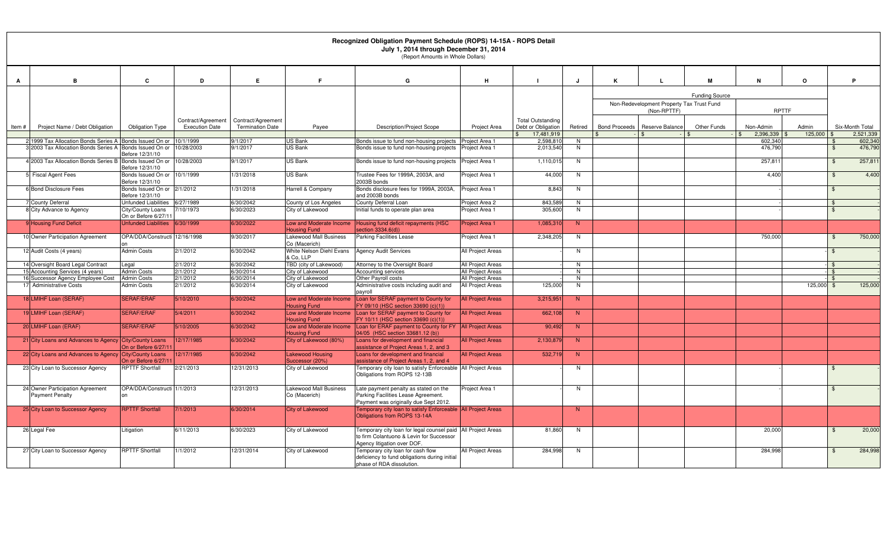|              |                                                                                                                            |                                                 |                       |                         |                                                | Recognized Obligation Payment Schedule (ROPS) 14-15A - ROPS Detail<br>July 1, 2014 through December 31, 2014<br>(Report Amounts in Whole Dollars) |                                  |                        |                |                      |                                                          |                       |                    |          |                    |                    |
|--------------|----------------------------------------------------------------------------------------------------------------------------|-------------------------------------------------|-----------------------|-------------------------|------------------------------------------------|---------------------------------------------------------------------------------------------------------------------------------------------------|----------------------------------|------------------------|----------------|----------------------|----------------------------------------------------------|-----------------------|--------------------|----------|--------------------|--------------------|
| $\mathbf{A}$ | B                                                                                                                          | C                                               | D                     | E.                      | E                                              | G                                                                                                                                                 | H                                | $\blacksquare$         | J              | K                    | L                                                        | M                     | N                  | $\Omega$ |                    | P.                 |
|              |                                                                                                                            |                                                 |                       |                         |                                                |                                                                                                                                                   |                                  |                        |                |                      |                                                          | <b>Funding Source</b> |                    |          |                    |                    |
|              |                                                                                                                            |                                                 |                       |                         |                                                |                                                                                                                                                   |                                  |                        |                |                      | Non-Redevelopment Property Tax Trust Fund<br>(Non-RPTTF) |                       | <b>RPTTF</b>       |          |                    |                    |
|              |                                                                                                                            |                                                 | Contract/Agreement    | Contract/Agreement      |                                                |                                                                                                                                                   |                                  | Total Outstanding      |                |                      |                                                          |                       |                    |          |                    |                    |
| Item#        | Project Name / Debt Obligation                                                                                             | <b>Obligation Type</b>                          | <b>Execution Date</b> | <b>Termination Date</b> | Payee                                          | <b>Description/Project Scope</b>                                                                                                                  | Project Area                     | Debt or Obligation     | Retired        | <b>Bond Proceeds</b> | Reserve Balance                                          | Other Funds           | Non-Admin          | Admin    |                    | Six-Month Total    |
|              |                                                                                                                            |                                                 |                       | 9/1/2017                | <b>US Bank</b>                                 |                                                                                                                                                   |                                  | 17,481,919             |                |                      |                                                          |                       | 2,396,339          | 125,000  |                    | 2.521.339          |
|              | 1999 Tax Allocation Bonds Series A Bonds Issued On or 10/1/1999<br>3 2003 Tax Allocation Bonds Series A Bonds Issued On or |                                                 | 10/28/2003            | 9/1/2017                | <b>US Bank</b>                                 | Bonds issue to fund non-housing projects<br>Bonds issue to fund non-housing projects                                                              | Project Area 1<br>Project Area 1 | 2,598,810<br>2,013,540 | N<br>N         |                      |                                                          |                       | 602.340<br>476,790 |          | - \$               | 602,340<br>476,790 |
|              |                                                                                                                            | Before 12/31/10                                 |                       |                         |                                                |                                                                                                                                                   |                                  |                        |                |                      |                                                          |                       |                    |          |                    |                    |
|              | 4 2003 Tax Allocation Bonds Series B Bonds Issued On or 10/28/2003                                                         | Before 12/31/10                                 |                       | 9/1/2017                | <b>US Bank</b>                                 | Bonds issue to fund non-housing projects                                                                                                          | Project Area 1                   | 1,110,015              | N              |                      |                                                          |                       | 257,811            |          | $\mathbf{\hat{f}}$ | 257,811            |
|              | 5 Fiscal Agent Fees                                                                                                        | Bonds Issued On or 10/1/1999<br>Before 12/31/10 |                       | 1/31/2018               | <b>US Bank</b>                                 | Trustee Fees for 1999A, 2003A, and<br>2003B bonds                                                                                                 | Project Area 1                   | 44,000                 | N              |                      |                                                          |                       | 4,400              |          | $\mathcal{F}$      | 4,400              |
|              | 6 Bond Disclosure Fees                                                                                                     | Bonds Issued On or 2/1/2012<br>Before 12/31/10  |                       | 1/31/2018               | Harrell & Company                              | Bonds disclosure fees for 1999A, 2003A,<br>and 2003B bonds                                                                                        | Project Area 1                   | 8,843                  | N              |                      |                                                          |                       |                    |          | \$.                |                    |
|              | <b>County Deferral</b>                                                                                                     | Unfunded Liabilities                            | 6/27/1989             | 3/30/2042               | County of Los Angeles                          | County Deferral Loan                                                                                                                              | Project Area 2                   | 843.589                | N              |                      |                                                          |                       |                    |          |                    |                    |
|              | 8 City Advance to Agency                                                                                                   | City/County Loans<br>On or Before 6/27/1        | 7/10/1973             | 6/30/2023               | City of Lakewood                               | Initial funds to operate plan area                                                                                                                | Project Area 1                   | 305.600                | N              |                      |                                                          |                       |                    |          |                    |                    |
|              | 9 Housing Fund Deficit                                                                                                     | <b>Unfunded Liabilities</b>                     | 6/30/1999             | 6/30/2022               | Low and Moderate Income<br><b>Housing Fund</b> | Housing fund deficit repayments (HSC<br>section 3334.6(d))                                                                                        | Project Area 1                   | 1,085,310              | N              |                      |                                                          |                       |                    |          |                    |                    |
|              | 10 Owner Participation Agreement                                                                                           | OPA/DDA/Constructi 12/16/1998                   |                       | 9/30/2017               | Lakewood Mall Business<br>Co (Macerich)        | <b>Parking Facilities Lease</b>                                                                                                                   | Project Area 1                   | 2,348,205              | N              |                      |                                                          |                       | 750,000            |          | $\mathbf{\$}$      | 750,000            |
|              | 12 Audit Costs (4 years)                                                                                                   | <b>Admin Costs</b>                              | 2/1/2012              | 6/30/2042               | White Nelson Diehl Evans<br>& Co. LLP          | <b>Agency Audit Services</b>                                                                                                                      | All Project Areas                |                        | N              |                      |                                                          |                       |                    |          | \$                 |                    |
|              | 14 Oversight Board Legal Contract                                                                                          | Legal                                           | 2/1/2012              | 6/30/2042               | TBD (city of Lakewood)                         | Attorney to the Oversight Board                                                                                                                   | All Project Areas                |                        | N              |                      |                                                          |                       |                    |          | . ድ                |                    |
|              | 15 Accounting Services (4 years)                                                                                           | <b>Admin Costs</b>                              | 2/1/2012              | 6/30/2014               | City of Lakewood                               | Accounting services                                                                                                                               | All Project Areas                |                        | N              |                      |                                                          |                       |                    |          | \$                 |                    |
|              | 16 Successor Agency Employee Cost                                                                                          | <b>Admin Costs</b>                              | 2/1/2012              | 6/30/2014               | City of Lakewood                               | Other Payroll costs                                                                                                                               | All Project Areas                |                        | $\overline{N}$ |                      |                                                          |                       |                    |          | $\mathcal{L}$      |                    |
|              | 17 Administrative Costs                                                                                                    | Admin Costs                                     | 2/1/2012              | 6/30/2014               | City of Lakewood                               | Administrative costs including audit and<br>payroll                                                                                               | All Project Areas                | 125,000                | N              |                      |                                                          |                       |                    | 125,000  |                    | 125,000            |
|              | 18 LMIHF Loan (SERAF)                                                                                                      | <b>SERAF/ERAF</b>                               | 5/10/2010             | 6/30/2042               | Low and Moderate Income<br><b>Housing Fund</b> | Loan for SERAF payment to County for<br>FY 09/10 (HSC section 33690 (c)(1))                                                                       | <b>All Project Areas</b>         | 3,215,951              | N              |                      |                                                          |                       |                    |          |                    |                    |
|              | 19 LMIHF Loan (SERAF)                                                                                                      | <b>SERAF/ERAF</b>                               | 5/4/2011              | 6/30/2042               | Low and Moderate Income<br><b>Housing Fund</b> | Loan for SERAF payment to County for<br>FY 10/11 (HSC section 33690 (c)(1))                                                                       | <b>All Project Areas</b>         | 662.108                | N              |                      |                                                          |                       |                    |          |                    |                    |
|              | 20 LMIHF Loan (ERAF)                                                                                                       | <b>SERAF/ERAF</b>                               | 5/10/2005             | 6/30/2042               | Low and Moderate Income<br><b>Housing Fund</b> | Loan for ERAF payment to County for FY<br>04/05 (HSC section 33681.12 (b))                                                                        | <b>All Project Areas</b>         | 90,492                 | N.             |                      |                                                          |                       |                    |          |                    |                    |
|              | 21 City Loans and Advances to Agency City/County Loans                                                                     | On or Before 6/27/1                             | 12/17/1985            | 6/30/2042               | City of Lakewood (80%)                         | Loans for development and financial<br>assistance of Project Areas 1, 2, and 3                                                                    | <b>All Project Areas</b>         | 2,130,879              | N              |                      |                                                          |                       |                    |          |                    |                    |
|              | 22 City Loans and Advances to Agency City/County Loans                                                                     |                                                 | 12/17/1985            | 6/30/2042               | <b>Lakewood Housing</b>                        | Loans for development and financial                                                                                                               | <b>All Project Areas</b>         | 532,719                | N              |                      |                                                          |                       |                    |          |                    |                    |
|              | 23 City Loan to Successor Agency                                                                                           | On or Before 6/27/1<br><b>RPTTF Shortfall</b>   | 2/21/2013             | 12/31/2013              | Successor (20%)<br>City of Lakewood            | ssistance of Project Areas 1, 2, and 4<br>Temporary city loan to satisfy Enforceable   All Project Areas<br>Obligations from ROPS 12-13B          |                                  |                        | N              |                      |                                                          |                       |                    |          |                    |                    |
|              | 24 Owner Participation Agreement                                                                                           | OPA/DDA/Constructi 1/1/2013                     |                       | 12/31/2013              | Lakewood Mall Business                         | Late payment penalty as stated on the                                                                                                             | Project Area 1                   |                        | N              |                      |                                                          |                       |                    |          |                    |                    |
|              | <b>Payment Penalty</b>                                                                                                     |                                                 |                       |                         | Co (Macerich)                                  | Parking Facilities Lease Agreement.<br>Payment was originally due Sept 2012.                                                                      |                                  |                        |                |                      |                                                          |                       |                    |          |                    |                    |
|              | 25 City Loan to Successor Agency                                                                                           | <b>RPTTF Shortfall</b>                          | 7/1/2013              | 6/30/2014               | <b>City of Lakewood</b>                        | Temporary city loan to satisfy Enforceable All Project Areas<br>Obligations from ROPS 13-14A                                                      |                                  |                        | $\mathbf N$    |                      |                                                          |                       |                    |          |                    |                    |
|              | 26 Legal Fee                                                                                                               | .itigation                                      | 6/11/2013             | 6/30/2023               | City of Lakewood                               | Temporary city loan for legal counsel paid                                                                                                        | All Project Areas                | 81,860                 | N              |                      |                                                          |                       | 20,000             |          |                    | 20,000             |
|              |                                                                                                                            |                                                 |                       |                         |                                                | to firm Colantuono & Levin for Successor<br>Agency litigation over DOF.                                                                           |                                  |                        |                |                      |                                                          |                       |                    |          |                    |                    |
|              | 27 City Loan to Successor Agency                                                                                           | <b>RPTTF Shortfall</b>                          | 1/1/2012              | 12/31/2014              | City of Lakewood                               | Temporary city loan for cash flow<br>deficiency to fund obligations during initial                                                                | All Project Areas                | 284,998                | N              |                      |                                                          |                       | 284.998            |          |                    | 284,998            |
|              |                                                                                                                            |                                                 |                       |                         |                                                | phase of RDA dissolution.                                                                                                                         |                                  |                        |                |                      |                                                          |                       |                    |          |                    |                    |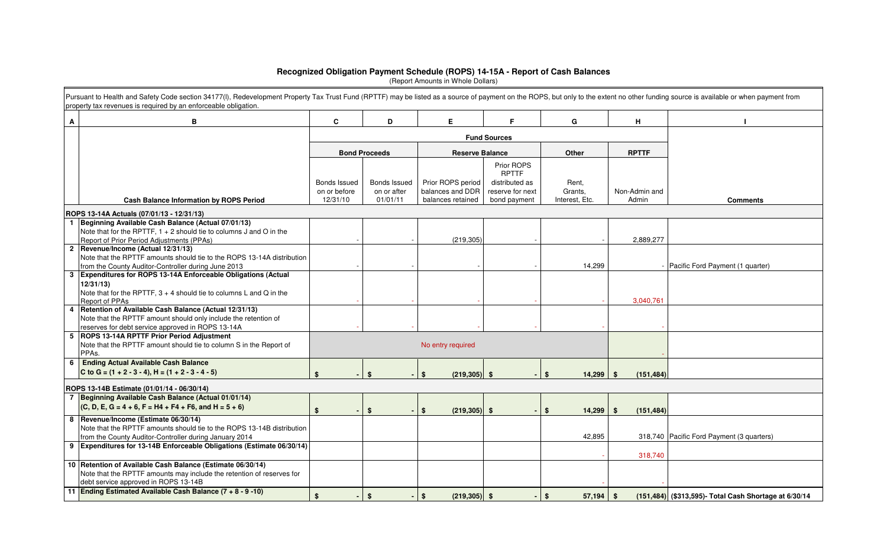## **Recognized Obligation Payment Schedule (ROPS) 14-15A - Report of Cash Balances** (Report Amounts in Whole Dollars)

|   | Pursuant to Health and Safety Code section 34177(I), Redevelopment Property Tax Trust Fund (RPTTF) may be listed as a source of payment on the ROPS, but only to the extent no other funding source is available or when payme<br>property tax revenues is required by an enforceable obligation. |                              |                             |                                       |                                    |                   |                        |                                                       |
|---|---------------------------------------------------------------------------------------------------------------------------------------------------------------------------------------------------------------------------------------------------------------------------------------------------|------------------------------|-----------------------------|---------------------------------------|------------------------------------|-------------------|------------------------|-------------------------------------------------------|
| A | B                                                                                                                                                                                                                                                                                                 | C                            | D                           | E.                                    | F.                                 | G                 | H                      |                                                       |
|   |                                                                                                                                                                                                                                                                                                   |                              |                             |                                       |                                    |                   |                        |                                                       |
|   |                                                                                                                                                                                                                                                                                                   |                              | <b>Bond Proceeds</b>        | <b>Reserve Balance</b>                |                                    | Other             | <b>RPTTF</b>           |                                                       |
|   |                                                                                                                                                                                                                                                                                                   |                              |                             |                                       | Prior ROPS<br><b>RPTTF</b>         |                   |                        |                                                       |
|   |                                                                                                                                                                                                                                                                                                   | Bonds Issued<br>on or before | Bonds Issued<br>on or after | Prior ROPS period<br>balances and DDR | distributed as<br>reserve for next | Rent.<br>Grants,  | Non-Admin and          |                                                       |
|   | <b>Cash Balance Information by ROPS Period</b>                                                                                                                                                                                                                                                    | 12/31/10                     | 01/01/11                    | balances retained                     | bond payment                       | Interest, Etc.    | Admin                  | <b>Comments</b>                                       |
|   | ROPS 13-14A Actuals (07/01/13 - 12/31/13)                                                                                                                                                                                                                                                         |                              |                             |                                       |                                    |                   |                        |                                                       |
|   | 1 Beginning Available Cash Balance (Actual 07/01/13)                                                                                                                                                                                                                                              |                              |                             |                                       |                                    |                   |                        |                                                       |
|   | Note that for the RPTTF, $1 + 2$ should tie to columns J and O in the                                                                                                                                                                                                                             |                              |                             |                                       |                                    |                   |                        |                                                       |
|   | Report of Prior Period Adjustments (PPAs)                                                                                                                                                                                                                                                         |                              |                             | (219, 305)                            |                                    |                   | 2,889,277              |                                                       |
|   | 2 Revenue/Income (Actual 12/31/13)<br>Note that the RPTTF amounts should tie to the ROPS 13-14A distribution                                                                                                                                                                                      |                              |                             |                                       |                                    |                   |                        |                                                       |
|   | from the County Auditor-Controller during June 2013                                                                                                                                                                                                                                               |                              |                             |                                       |                                    | 14,299            |                        | - Pacific Ford Payment (1 quarter)                    |
|   | 3 Expenditures for ROPS 13-14A Enforceable Obligations (Actual                                                                                                                                                                                                                                    |                              |                             |                                       |                                    |                   |                        |                                                       |
|   | 12/31/13                                                                                                                                                                                                                                                                                          |                              |                             |                                       |                                    |                   |                        |                                                       |
|   | Note that for the RPTTF, $3 + 4$ should tie to columns L and Q in the                                                                                                                                                                                                                             |                              |                             |                                       |                                    |                   |                        |                                                       |
|   | Report of PPAs                                                                                                                                                                                                                                                                                    |                              |                             |                                       |                                    |                   | 3,040,761              |                                                       |
|   | 4 Retention of Available Cash Balance (Actual 12/31/13)                                                                                                                                                                                                                                           |                              |                             |                                       |                                    |                   |                        |                                                       |
|   | Note that the RPTTF amount should only include the retention of<br>reserves for debt service approved in ROPS 13-14A                                                                                                                                                                              |                              |                             |                                       |                                    |                   |                        |                                                       |
|   | 5 ROPS 13-14A RPTTF Prior Period Adjustment                                                                                                                                                                                                                                                       |                              |                             |                                       |                                    |                   |                        |                                                       |
|   | Note that the RPTTF amount should tie to column S in the Report of<br>PPAs.                                                                                                                                                                                                                       |                              |                             | No entry required                     |                                    |                   |                        |                                                       |
|   | 6 Ending Actual Available Cash Balance                                                                                                                                                                                                                                                            |                              |                             |                                       |                                    |                   |                        |                                                       |
|   | C to G = $(1 + 2 - 3 - 4)$ , H = $(1 + 2 - 3 - 4 - 5)$                                                                                                                                                                                                                                            | \$                           | \$s                         | $\mathbf{s}$<br>$(219, 305)$ \$       |                                    | 14,299<br>\$      | <b>S</b><br>(151, 484) |                                                       |
|   | ROPS 13-14B Estimate (01/01/14 - 06/30/14)                                                                                                                                                                                                                                                        |                              |                             |                                       |                                    |                   |                        |                                                       |
|   | 7 Beginning Available Cash Balance (Actual 01/01/14)                                                                                                                                                                                                                                              |                              |                             |                                       |                                    |                   |                        |                                                       |
|   | $(C, D, E, G = 4 + 6, F = H4 + F4 + F6, and H = 5 + 6)$                                                                                                                                                                                                                                           | \$                           | \$                          | $(219, 305)$ \$<br>\$                 |                                    | \$<br>14,299      | (151, 484)<br>\$       |                                                       |
|   | 8  Revenue/Income (Estimate 06/30/14)                                                                                                                                                                                                                                                             |                              |                             |                                       |                                    |                   |                        |                                                       |
|   | Note that the RPTTF amounts should tie to the ROPS 13-14B distribution                                                                                                                                                                                                                            |                              |                             |                                       |                                    |                   |                        |                                                       |
|   | from the County Auditor-Controller during January 2014                                                                                                                                                                                                                                            |                              |                             |                                       |                                    | 42,895            |                        | 318,740 Pacific Ford Payment (3 quarters)             |
|   | 9 Expenditures for 13-14B Enforceable Obligations (Estimate 06/30/14)                                                                                                                                                                                                                             |                              |                             |                                       |                                    |                   | 318,740                |                                                       |
|   | 10 Retention of Available Cash Balance (Estimate 06/30/14)                                                                                                                                                                                                                                        |                              |                             |                                       |                                    |                   |                        |                                                       |
|   | Note that the RPTTF amounts may include the retention of reserves for                                                                                                                                                                                                                             |                              |                             |                                       |                                    |                   |                        |                                                       |
|   | debt service approved in ROPS 13-14B                                                                                                                                                                                                                                                              |                              |                             |                                       |                                    |                   |                        |                                                       |
|   | 11 Ending Estimated Available Cash Balance (7 + 8 - 9 -10)                                                                                                                                                                                                                                        | $\mathbf{s}$                 | \$                          | $(219, 305)$ \$<br>$$^{\circ}$        |                                    | \$<br>$57,194$ \$ |                        | (151,484) (\$313,595)- Total Cash Shortage at 6/30/14 |
|   |                                                                                                                                                                                                                                                                                                   |                              |                             |                                       |                                    |                   |                        |                                                       |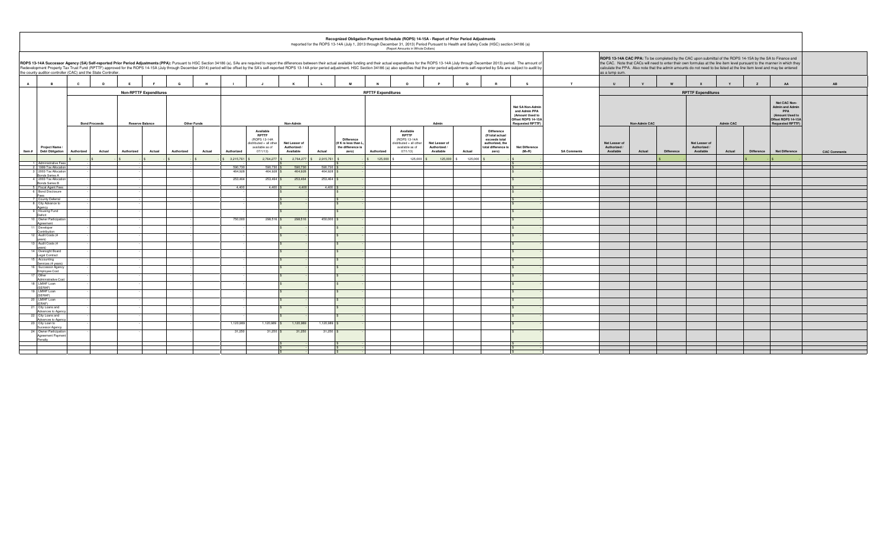|                |                                                                                                                                                                                                                                                                                                                                                                                                                                                                                                                                                                                                                                                                                                                                                                                                                                                                                                                          |                                                                                                                    |                      |  |          |                      |                    |                                                                                                               |                                            |                    |                                                                         |                           | (Report Amounts in Whole Dollars)                                                                  |                                            | Recognized Obligation Payment Schedule (ROPS) 14-15A - Report of Prior Period Adjustments<br>Reported for the ROPS 13-14A (July 1, 2013 through December 31, 2013) Period Pursuant to Health and Safety Code (HSC) section 34186 (a) |                                  |                    |                                            |              |                                                                                                                   |                                            |        |                   |                       |                     |
|----------------|--------------------------------------------------------------------------------------------------------------------------------------------------------------------------------------------------------------------------------------------------------------------------------------------------------------------------------------------------------------------------------------------------------------------------------------------------------------------------------------------------------------------------------------------------------------------------------------------------------------------------------------------------------------------------------------------------------------------------------------------------------------------------------------------------------------------------------------------------------------------------------------------------------------------------|--------------------------------------------------------------------------------------------------------------------|----------------------|--|----------|----------------------|--------------------|---------------------------------------------------------------------------------------------------------------|--------------------------------------------|--------------------|-------------------------------------------------------------------------|---------------------------|----------------------------------------------------------------------------------------------------|--------------------------------------------|--------------------------------------------------------------------------------------------------------------------------------------------------------------------------------------------------------------------------------------|----------------------------------|--------------------|--------------------------------------------|--------------|-------------------------------------------------------------------------------------------------------------------|--------------------------------------------|--------|-------------------|-----------------------|---------------------|
|                | ROPS 13-14A CAC PPA: To be completed by the CAC upon submittal of the ROPS 14-15A by the SA to Finance and<br>ROPS 13-14A Successor Agency (SA) Self-reported Prior Period Adjustments (PPA): Pursuant to HSC Section 34186 (a), SAs are required to report the differences between their actual available funding and their actual expendit<br>the CAC. Note that CACs will need to enter their own formulas at the line item level pursuant to the manner in which they<br>Redevelopment Property Tax Trust Fund (RPTTF) approved for the ROPS 14-15A (July through December 2014) period will be offset by the SA's self-reported ROPS 13-14A prior period adjustment. HSC Section 34186 (a) also specif<br>calculate the PPA. Also note that the admin amounts do not need to be listed at the line item level and may be entered<br>the county auditor-controller (CAC) and the State Controller.<br>as a lump sum. |                                                                                                                    |                      |  |          |                      |                    |                                                                                                               |                                            |                    |                                                                         |                           |                                                                                                    |                                            |                                                                                                                                                                                                                                      |                                  |                    |                                            |              |                                                                                                                   |                                            |        |                   |                       |                     |
| $\overline{A}$ | $\overline{B}$                                                                                                                                                                                                                                                                                                                                                                                                                                                                                                                                                                                                                                                                                                                                                                                                                                                                                                           | $\mathbf{c}$                                                                                                       | D<br>E               |  | <b>F</b> | G<br>H               |                    |                                                                                                               | $\kappa$                                   |                    | M                                                                       |                           | $\circ$                                                                                            | P                                          | $\mathbf{Q}$                                                                                                                                                                                                                         | $\mathbf{s}$                     | T                  | $\mathsf{U}$                               | $\mathbf{v}$ |                                                                                                                   | $\mathbf{Y}$                               |        | $\overline{z}$    | AA                    | AB                  |
|                |                                                                                                                                                                                                                                                                                                                                                                                                                                                                                                                                                                                                                                                                                                                                                                                                                                                                                                                          |                                                                                                                    |                      |  |          |                      |                    |                                                                                                               |                                            |                    |                                                                         | <b>RPTTF Expenditures</b> |                                                                                                    |                                            |                                                                                                                                                                                                                                      |                                  |                    |                                            |              |                                                                                                                   | <b>RPTTF Expenditures</b>                  |        |                   |                       |                     |
|                |                                                                                                                                                                                                                                                                                                                                                                                                                                                                                                                                                                                                                                                                                                                                                                                                                                                                                                                          | <b>Non-RPTTF Expenditures</b><br><b>Other Funds</b><br><b>Bond Proceeds</b><br><b>Reserve Balance</b><br>Non-Admin |                      |  |          |                      |                    | Net SA Non-Admir<br>and Admin PPA<br>(Amount Used to<br>Offset ROPS 14-15A<br><b>Requested RPTTF</b><br>Admin |                                            |                    |                                                                         |                           |                                                                                                    | Non-Admin CAC                              |                                                                                                                                                                                                                                      |                                  | <b>Admin CAC</b>   |                                            |              | Net CAC Non-<br><b>Admin and Admin</b><br>PPA<br>(Amount Used to<br>Offset ROPS 14-15A<br><b>Requested RPTTF)</b> |                                            |        |                   |                       |                     |
| Item#          | <b>Project Name</b><br><b>Debt Obligation</b>                                                                                                                                                                                                                                                                                                                                                                                                                                                                                                                                                                                                                                                                                                                                                                                                                                                                            | Authorized                                                                                                         | Actual<br>Authorized |  | Actual   | Actual<br>Authorized | Authorized         | Available<br><b>RPTTF</b><br>(ROPS 13-14A<br>distributed + all other<br>available as of<br>07/1/13            | Net Lesser of<br>Authorized /<br>Available | Actual             | <b>Difference</b><br>(If K is less than L<br>the difference is<br>zero) | Authorized                | Available<br><b>RPTTE</b><br>(ROPS 13-14A<br>distributed + all other<br>available as of<br>07/1/13 | Net Lesser of<br>Authorized /<br>Available | <b>Difference</b><br>(If total actual<br>exceeds total<br>authorized, the<br>total difference is<br>Actual<br>zero)                                                                                                                  | <b>Net Difference</b><br>$(M+R)$ | <b>SA Comments</b> | Net Lesser of<br>Authorized /<br>Available | Actual       | <b>Difference</b>                                                                                                 | Net Lesser of<br>Authorized /<br>Available | Actual | <b>Difference</b> | <b>Net Difference</b> | <b>CAC Comments</b> |
|                | 1 Administrative Fee                                                                                                                                                                                                                                                                                                                                                                                                                                                                                                                                                                                                                                                                                                                                                                                                                                                                                                     |                                                                                                                    |                      |  |          |                      | 3,215,761          | 2,764,277                                                                                                     | 2,764,277                                  | 2,915,761          |                                                                         | 125,000                   | 125,000                                                                                            | 125,000                                    | 125,000                                                                                                                                                                                                                              |                                  |                    |                                            |              |                                                                                                                   |                                            |        |                   |                       |                     |
|                | 2 1999 Tax Allocatio<br>3 2003 Tax Allocatio                                                                                                                                                                                                                                                                                                                                                                                                                                                                                                                                                                                                                                                                                                                                                                                                                                                                             |                                                                                                                    |                      |  |          |                      | 590.730<br>464,928 | 590.730<br>464,928                                                                                            | 590.73<br>464,928                          | 590.730<br>464,928 |                                                                         |                           |                                                                                                    |                                            |                                                                                                                                                                                                                                      |                                  |                    |                                            |              |                                                                                                                   |                                            |        |                   |                       |                     |
|                | Bonds Series A<br>4 2003 Tax Allocatio                                                                                                                                                                                                                                                                                                                                                                                                                                                                                                                                                                                                                                                                                                                                                                                                                                                                                   |                                                                                                                    |                      |  |          |                      | 253,464            | 253,464                                                                                                       | 253,464                                    | 253,464            |                                                                         |                           |                                                                                                    |                                            |                                                                                                                                                                                                                                      |                                  |                    |                                            |              |                                                                                                                   |                                            |        |                   |                       |                     |
|                | Bonds Series B<br>5 Fiscal Agent Fees                                                                                                                                                                                                                                                                                                                                                                                                                                                                                                                                                                                                                                                                                                                                                                                                                                                                                    |                                                                                                                    |                      |  |          |                      | 4,400              | 4,400                                                                                                         | 4,400                                      | 4,400              |                                                                         |                           |                                                                                                    |                                            |                                                                                                                                                                                                                                      |                                  |                    |                                            |              |                                                                                                                   |                                            |        |                   |                       |                     |
|                | <b>Bond Disclosure</b>                                                                                                                                                                                                                                                                                                                                                                                                                                                                                                                                                                                                                                                                                                                                                                                                                                                                                                   |                                                                                                                    |                      |  |          |                      |                    |                                                                                                               |                                            |                    |                                                                         |                           |                                                                                                    |                                            |                                                                                                                                                                                                                                      |                                  |                    |                                            |              |                                                                                                                   |                                            |        |                   |                       |                     |
|                | 7 County Deferral<br>8 City Advance to                                                                                                                                                                                                                                                                                                                                                                                                                                                                                                                                                                                                                                                                                                                                                                                                                                                                                   |                                                                                                                    |                      |  |          |                      |                    |                                                                                                               |                                            |                    |                                                                         |                           |                                                                                                    |                                            |                                                                                                                                                                                                                                      |                                  |                    |                                            |              |                                                                                                                   |                                            |        |                   |                       |                     |
|                | Agency                                                                                                                                                                                                                                                                                                                                                                                                                                                                                                                                                                                                                                                                                                                                                                                                                                                                                                                   |                                                                                                                    |                      |  |          |                      |                    |                                                                                                               |                                            |                    |                                                                         |                           |                                                                                                    |                                            |                                                                                                                                                                                                                                      |                                  |                    |                                            |              |                                                                                                                   |                                            |        |                   |                       |                     |
|                | 9 Housing Fund<br>Deficit                                                                                                                                                                                                                                                                                                                                                                                                                                                                                                                                                                                                                                                                                                                                                                                                                                                                                                |                                                                                                                    |                      |  |          |                      |                    |                                                                                                               |                                            |                    |                                                                         |                           |                                                                                                    |                                            |                                                                                                                                                                                                                                      |                                  |                    |                                            |              |                                                                                                                   |                                            |        |                   |                       |                     |
|                | 10 Owner Participatio<br>Agreement                                                                                                                                                                                                                                                                                                                                                                                                                                                                                                                                                                                                                                                                                                                                                                                                                                                                                       |                                                                                                                    |                      |  |          |                      | 750,000            | 298,516                                                                                                       | 298,516                                    | 450,000            |                                                                         |                           |                                                                                                    |                                            |                                                                                                                                                                                                                                      |                                  |                    |                                            |              |                                                                                                                   |                                            |        |                   |                       |                     |
|                | 11 Developer<br>Contribution                                                                                                                                                                                                                                                                                                                                                                                                                                                                                                                                                                                                                                                                                                                                                                                                                                                                                             |                                                                                                                    |                      |  |          |                      |                    |                                                                                                               |                                            |                    |                                                                         |                           |                                                                                                    |                                            |                                                                                                                                                                                                                                      |                                  |                    |                                            |              |                                                                                                                   |                                            |        |                   |                       |                     |
|                | 12 Audit Costs (4<br>vears                                                                                                                                                                                                                                                                                                                                                                                                                                                                                                                                                                                                                                                                                                                                                                                                                                                                                               |                                                                                                                    |                      |  |          |                      |                    |                                                                                                               |                                            |                    |                                                                         |                           |                                                                                                    |                                            |                                                                                                                                                                                                                                      |                                  |                    |                                            |              |                                                                                                                   |                                            |        |                   |                       |                     |
|                | 13 Audit Costs (4<br>vears <sup>1</sup>                                                                                                                                                                                                                                                                                                                                                                                                                                                                                                                                                                                                                                                                                                                                                                                                                                                                                  |                                                                                                                    |                      |  |          |                      |                    |                                                                                                               |                                            |                    |                                                                         |                           |                                                                                                    |                                            |                                                                                                                                                                                                                                      |                                  |                    |                                            |              |                                                                                                                   |                                            |        |                   |                       |                     |
|                | 14 Oversight Board<br>Legal Contract                                                                                                                                                                                                                                                                                                                                                                                                                                                                                                                                                                                                                                                                                                                                                                                                                                                                                     |                                                                                                                    |                      |  |          |                      |                    |                                                                                                               |                                            |                    |                                                                         |                           |                                                                                                    |                                            |                                                                                                                                                                                                                                      |                                  |                    |                                            |              |                                                                                                                   |                                            |        |                   |                       |                     |
|                | 15 Accounting<br>Services (4 years)                                                                                                                                                                                                                                                                                                                                                                                                                                                                                                                                                                                                                                                                                                                                                                                                                                                                                      |                                                                                                                    |                      |  |          |                      |                    |                                                                                                               |                                            |                    |                                                                         |                           |                                                                                                    |                                            |                                                                                                                                                                                                                                      |                                  |                    |                                            |              |                                                                                                                   |                                            |        |                   |                       |                     |
|                | 16 Successor Agency<br>Employee Cost                                                                                                                                                                                                                                                                                                                                                                                                                                                                                                                                                                                                                                                                                                                                                                                                                                                                                     |                                                                                                                    |                      |  |          |                      |                    |                                                                                                               |                                            |                    |                                                                         |                           |                                                                                                    |                                            |                                                                                                                                                                                                                                      |                                  |                    |                                            |              |                                                                                                                   |                                            |        |                   |                       |                     |
|                | 17 Other<br>Administrative Co                                                                                                                                                                                                                                                                                                                                                                                                                                                                                                                                                                                                                                                                                                                                                                                                                                                                                            |                                                                                                                    |                      |  |          |                      |                    |                                                                                                               |                                            |                    |                                                                         |                           |                                                                                                    |                                            |                                                                                                                                                                                                                                      |                                  |                    |                                            |              |                                                                                                                   |                                            |        |                   |                       |                     |
|                | 18 LMIHF Loan<br>(SERAE)                                                                                                                                                                                                                                                                                                                                                                                                                                                                                                                                                                                                                                                                                                                                                                                                                                                                                                 |                                                                                                                    |                      |  |          |                      |                    |                                                                                                               |                                            |                    |                                                                         |                           |                                                                                                    |                                            |                                                                                                                                                                                                                                      |                                  |                    |                                            |              |                                                                                                                   |                                            |        |                   |                       |                     |
|                | 19 LMIHF Loan<br>(SERAF)                                                                                                                                                                                                                                                                                                                                                                                                                                                                                                                                                                                                                                                                                                                                                                                                                                                                                                 |                                                                                                                    |                      |  |          |                      |                    |                                                                                                               |                                            |                    |                                                                         |                           |                                                                                                    |                                            |                                                                                                                                                                                                                                      |                                  |                    |                                            |              |                                                                                                                   |                                            |        |                   |                       |                     |
|                | 20 LMIHF Loan                                                                                                                                                                                                                                                                                                                                                                                                                                                                                                                                                                                                                                                                                                                                                                                                                                                                                                            |                                                                                                                    |                      |  |          |                      |                    |                                                                                                               |                                            |                    |                                                                         |                           |                                                                                                    |                                            |                                                                                                                                                                                                                                      |                                  |                    |                                            |              |                                                                                                                   |                                            |        |                   |                       |                     |
|                | (ERAF)<br>21 City Loans and                                                                                                                                                                                                                                                                                                                                                                                                                                                                                                                                                                                                                                                                                                                                                                                                                                                                                              |                                                                                                                    |                      |  |          |                      |                    |                                                                                                               |                                            |                    |                                                                         |                           |                                                                                                    |                                            |                                                                                                                                                                                                                                      |                                  |                    |                                            |              |                                                                                                                   |                                            |        |                   |                       |                     |
|                | Advances to Ager<br>22 City Loans and                                                                                                                                                                                                                                                                                                                                                                                                                                                                                                                                                                                                                                                                                                                                                                                                                                                                                    |                                                                                                                    |                      |  |          |                      |                    |                                                                                                               |                                            |                    |                                                                         |                           |                                                                                                    |                                            |                                                                                                                                                                                                                                      |                                  |                    |                                            |              |                                                                                                                   |                                            |        |                   |                       |                     |
|                | Advances to Agen<br>23 City Loan to                                                                                                                                                                                                                                                                                                                                                                                                                                                                                                                                                                                                                                                                                                                                                                                                                                                                                      |                                                                                                                    |                      |  |          |                      | 1,120,989          | 1,120,989                                                                                                     | 1,120,989                                  | 1,120,989          |                                                                         |                           |                                                                                                    |                                            |                                                                                                                                                                                                                                      |                                  |                    |                                            |              |                                                                                                                   |                                            |        |                   |                       |                     |
|                | Sucessor Agency<br>24 Owner Participatio<br>Agreement Paymen                                                                                                                                                                                                                                                                                                                                                                                                                                                                                                                                                                                                                                                                                                                                                                                                                                                             |                                                                                                                    |                      |  |          |                      | 31,250             | $31,250$ \$                                                                                                   | 31,250                                     | 31,250             |                                                                         |                           |                                                                                                    |                                            |                                                                                                                                                                                                                                      |                                  |                    |                                            |              |                                                                                                                   |                                            |        |                   |                       |                     |
|                | Penalty                                                                                                                                                                                                                                                                                                                                                                                                                                                                                                                                                                                                                                                                                                                                                                                                                                                                                                                  |                                                                                                                    |                      |  |          |                      |                    |                                                                                                               |                                            |                    |                                                                         |                           |                                                                                                    |                                            |                                                                                                                                                                                                                                      |                                  |                    |                                            |              |                                                                                                                   |                                            |        |                   |                       |                     |
|                |                                                                                                                                                                                                                                                                                                                                                                                                                                                                                                                                                                                                                                                                                                                                                                                                                                                                                                                          |                                                                                                                    |                      |  |          |                      |                    |                                                                                                               |                                            |                    |                                                                         |                           |                                                                                                    |                                            |                                                                                                                                                                                                                                      |                                  |                    |                                            |              |                                                                                                                   |                                            |        |                   |                       |                     |
|                |                                                                                                                                                                                                                                                                                                                                                                                                                                                                                                                                                                                                                                                                                                                                                                                                                                                                                                                          |                                                                                                                    |                      |  |          |                      |                    |                                                                                                               |                                            |                    |                                                                         |                           |                                                                                                    |                                            |                                                                                                                                                                                                                                      |                                  |                    |                                            |              |                                                                                                                   |                                            |        |                   |                       |                     |